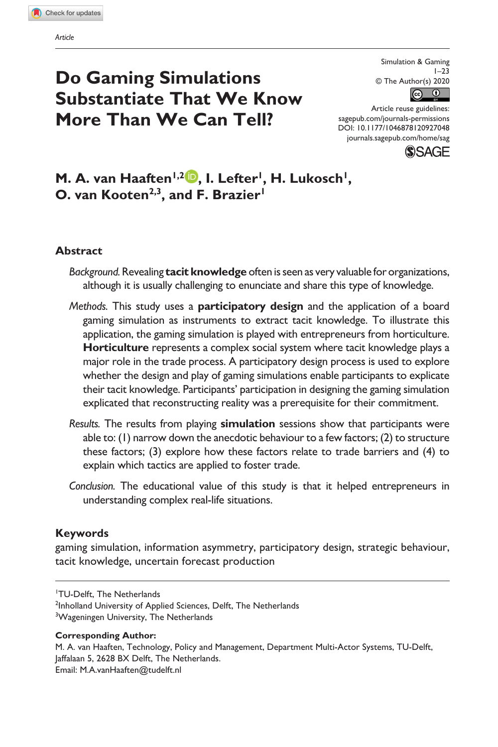**927[048](http://crossmark.crossref.org/dialog/?doi=10.1177%2F1046878120927048&domain=pdf&date_stamp=2020-12-06)**SAGXXX10.1177/1046878120927048Simulation & Gaming**van Haaften**

# **Do Gaming Simulations Substantiate That We Know More Than We Can Tell?**

Simulation & Gaming  $1 - 23$ © The Author(s) 2020  $\bigcirc$  $\left($ 

DOI: 10.1177/1046878120927048 Article reuse guidelines: [sagepub.com/journals-permissions](https://us.sagepub.com/en-us/journals-permissions) [journals.sagepub.com/home/sag](https://journals.sagepub.com/home/sag)



M. A. van Haaften<sup>1,2</sup> D. I. Lefter<sup>1</sup>, H. Lukosch<sup>1</sup>, **O. van Kooten<sup>2,3</sup>, and F. Brazier<sup>1</sup>** 

#### **Abstract**

- *Background.* Revealing **tacit knowledge** often is seen as very valuable for organizations, although it is usually challenging to enunciate and share this type of knowledge.
- *Methods.* This study uses a **participatory design** and the application of a board gaming simulation as instruments to extract tacit knowledge. To illustrate this application, the gaming simulation is played with entrepreneurs from horticulture. **Horticulture** represents a complex social system where tacit knowledge plays a major role in the trade process. A participatory design process is used to explore whether the design and play of gaming simulations enable participants to explicate their tacit knowledge. Participants' participation in designing the gaming simulation explicated that reconstructing reality was a prerequisite for their commitment.
- *Results.* The results from playing **simulation** sessions show that participants were able to: (1) narrow down the anecdotic behaviour to a few factors; (2) to structure these factors; (3) explore how these factors relate to trade barriers and (4) to explain which tactics are applied to foster trade.
- *Conclusion.* The educational value of this study is that it helped entrepreneurs in understanding complex real-life situations.

#### **Keywords**

gaming simulation, information asymmetry, participatory design, strategic behaviour, tacit knowledge, uncertain forecast production

1 TU-Delft, The Netherlands <sup>2</sup>Inholland University of Applied Sciences, Delft, The Netherlands <sup>3</sup>Wageningen University, The Netherlands

#### **Corresponding Author:**

M. A. van Haaften, Technology, Policy and Management, Department Multi-Actor Systems, TU-Delft, Jaffalaan 5, 2628 BX Delft, The Netherlands. Email: [M.A.vanHaaften@tudelft.nl](mailto:M.A.vanHaaften@tudelft.nl)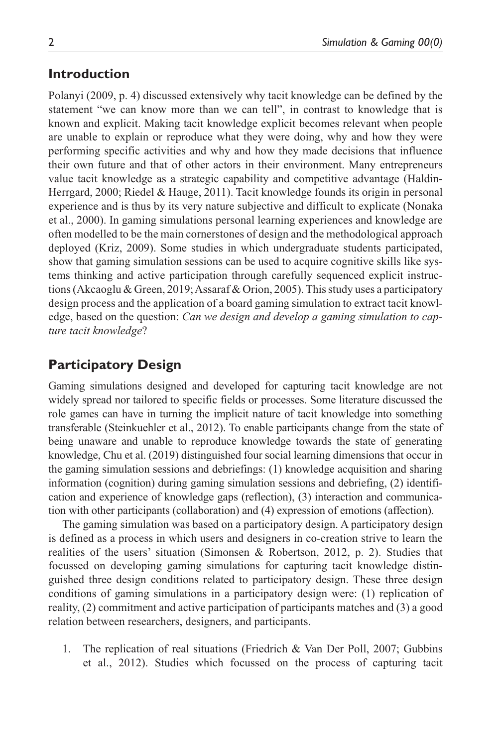### **Introduction**

Polanyi (2009, p. 4) discussed extensively why tacit knowledge can be defined by the statement "we can know more than we can tell", in contrast to knowledge that is known and explicit. Making tacit knowledge explicit becomes relevant when people are unable to explain or reproduce what they were doing, why and how they were performing specific activities and why and how they made decisions that influence their own future and that of other actors in their environment. Many entrepreneurs value tacit knowledge as a strategic capability and competitive advantage (Haldin-Herrgard, 2000; Riedel & Hauge, 2011). Tacit knowledge founds its origin in personal experience and is thus by its very nature subjective and difficult to explicate (Nonaka et al., 2000). In gaming simulations personal learning experiences and knowledge are often modelled to be the main cornerstones of design and the methodological approach deployed (Kriz, 2009). Some studies in which undergraduate students participated, show that gaming simulation sessions can be used to acquire cognitive skills like systems thinking and active participation through carefully sequenced explicit instructions (Akcaoglu & Green, 2019; Assaraf & Orion, 2005). This study uses a participatory design process and the application of a board gaming simulation to extract tacit knowledge, based on the question: *Can we design and develop a gaming simulation to capture tacit knowledge*?

## **Participatory Design**

Gaming simulations designed and developed for capturing tacit knowledge are not widely spread nor tailored to specific fields or processes. Some literature discussed the role games can have in turning the implicit nature of tacit knowledge into something transferable (Steinkuehler et al., 2012). To enable participants change from the state of being unaware and unable to reproduce knowledge towards the state of generating knowledge, Chu et al. (2019) distinguished four social learning dimensions that occur in the gaming simulation sessions and debriefings: (1) knowledge acquisition and sharing information (cognition) during gaming simulation sessions and debriefing, (2) identification and experience of knowledge gaps (reflection), (3) interaction and communication with other participants (collaboration) and (4) expression of emotions (affection).

The gaming simulation was based on a participatory design. A participatory design is defined as a process in which users and designers in co-creation strive to learn the realities of the users' situation (Simonsen & Robertson, 2012, p. 2). Studies that focussed on developing gaming simulations for capturing tacit knowledge distinguished three design conditions related to participatory design. These three design conditions of gaming simulations in a participatory design were: (1) replication of reality, (2) commitment and active participation of participants matches and (3) a good relation between researchers, designers, and participants.

1. The replication of real situations (Friedrich & Van Der Poll, 2007; Gubbins et al., 2012). Studies which focussed on the process of capturing tacit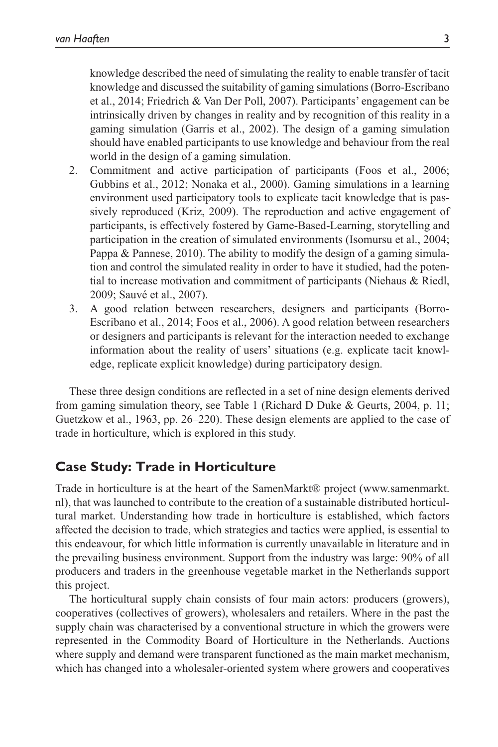knowledge described the need of simulating the reality to enable transfer of tacit knowledge and discussed the suitability of gaming simulations (Borro-Escribano et al., 2014; Friedrich & Van Der Poll, 2007). Participants' engagement can be intrinsically driven by changes in reality and by recognition of this reality in a gaming simulation (Garris et al., 2002). The design of a gaming simulation should have enabled participants to use knowledge and behaviour from the real world in the design of a gaming simulation.

- 2. Commitment and active participation of participants (Foos et al., 2006; Gubbins et al., 2012; Nonaka et al., 2000). Gaming simulations in a learning environment used participatory tools to explicate tacit knowledge that is passively reproduced (Kriz, 2009). The reproduction and active engagement of participants, is effectively fostered by Game-Based-Learning, storytelling and participation in the creation of simulated environments (Isomursu et al., 2004; Pappa & Pannese, 2010). The ability to modify the design of a gaming simulation and control the simulated reality in order to have it studied, had the potential to increase motivation and commitment of participants (Niehaus & Riedl, 2009; Sauvé et al., 2007).
- 3. A good relation between researchers, designers and participants (Borro-Escribano et al., 2014; Foos et al., 2006). A good relation between researchers or designers and participants is relevant for the interaction needed to exchange information about the reality of users' situations (e.g. explicate tacit knowledge, replicate explicit knowledge) during participatory design.

These three design conditions are reflected in a set of nine design elements derived from gaming simulation theory, see Table 1 (Richard D Duke & Geurts, 2004, p. 11; Guetzkow et al., 1963, pp. 26–220). These design elements are applied to the case of trade in horticulture, which is explored in this study.

### **Case Study: Trade in Horticulture**

Trade in horticulture is at the heart of the SamenMarkt® project [\(www.samenmarkt.](www.samenmarkt.nl) [nl\), that was launched to contribute to the creation of a sustainable distributed horticul](www.samenmarkt.nl)[tural market. Understanding how trade in horticulture is established, which factors](www.samenmarkt.nl)  [affected the decision to trade, which strategies and tactics were applied, is essential to](www.samenmarkt.nl) [this endeavour, for which little information is currently unavailable in literature and in](www.samenmarkt.nl)  [the prevailing business environment. Support from the industry was large: 90% of all](www.samenmarkt.nl)  [producers and traders in the greenhouse vegetable market in the Netherlands support](www.samenmarkt.nl) [this project.](www.samenmarkt.nl)

The horticultural supply chain consists of four main actors: producers (growers), cooperatives (collectives of growers), wholesalers and retailers. Where in the past the supply chain was characterised by a conventional structure in which the growers were represented in the Commodity Board of Horticulture in the Netherlands. Auctions where supply and demand were transparent functioned as the main market mechanism, which has changed into a wholesaler-oriented system where growers and cooperatives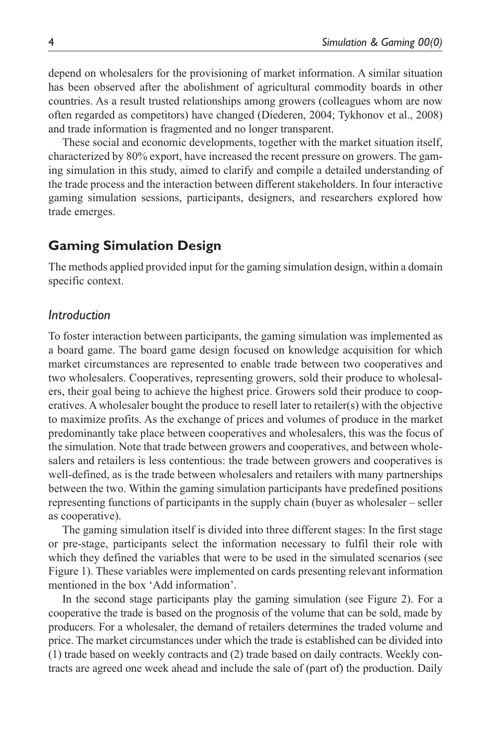depend on wholesalers for the provisioning of market information. A similar situation has been observed after the abolishment of agricultural commodity boards in other countries. As a result trusted relationships among growers (colleagues whom are now often regarded as competitors) have changed (Diederen, 2004; Tykhonov et al., 2008) and trade information is fragmented and no longer transparent.

These social and economic developments, together with the market situation itself, characterized by 80% export, have increased the recent pressure on growers. The gaming simulation in this study, aimed to clarify and compile a detailed understanding of the trade process and the interaction between different stakeholders. In four interactive gaming simulation sessions, participants, designers, and researchers explored how trade emerges.

#### **Gaming Simulation Design**

The methods applied provided input for the gaming simulation design, within a domain specific context.

#### *Introduction*

To foster interaction between participants, the gaming simulation was implemented as a board game. The board game design focused on knowledge acquisition for which market circumstances are represented to enable trade between two cooperatives and two wholesalers. Cooperatives, representing growers, sold their produce to wholesalers, their goal being to achieve the highest price. Growers sold their produce to cooperatives. A wholesaler bought the produce to resell later to retailer(s) with the objective to maximize profits. As the exchange of prices and volumes of produce in the market predominantly take place between cooperatives and wholesalers, this was the focus of the simulation. Note that trade between growers and cooperatives, and between wholesalers and retailers is less contentious: the trade between growers and cooperatives is well-defined, as is the trade between wholesalers and retailers with many partnerships between the two. Within the gaming simulation participants have predefined positions representing functions of participants in the supply chain (buyer as wholesaler – seller as cooperative).

The gaming simulation itself is divided into three different stages: In the first stage or pre-stage, participants select the information necessary to fulfil their role with which they defined the variables that were to be used in the simulated scenarios (see Figure 1). These variables were implemented on cards presenting relevant information mentioned in the box 'Add information'.

In the second stage participants play the gaming simulation (see Figure 2). For a cooperative the trade is based on the prognosis of the volume that can be sold, made by producers. For a wholesaler, the demand of retailers determines the traded volume and price. The market circumstances under which the trade is established can be divided into (1) trade based on weekly contracts and (2) trade based on daily contracts. Weekly contracts are agreed one week ahead and include the sale of (part of) the production. Daily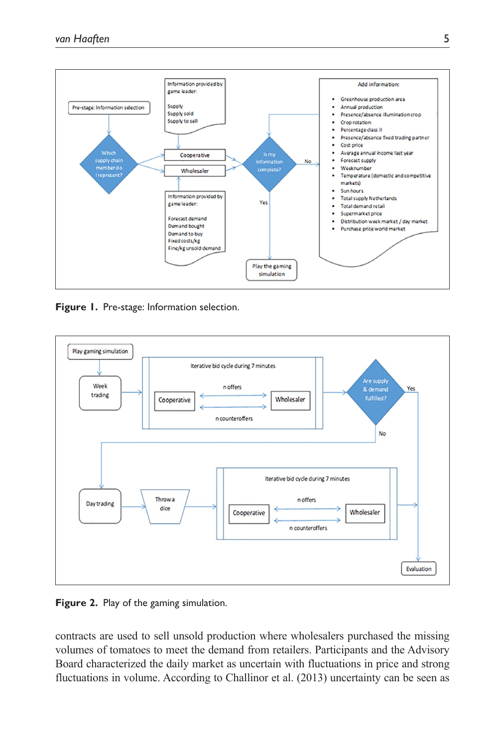

**Figure 1.** Pre-stage: Information selection.



**Figure 2.** Play of the gaming simulation.

contracts are used to sell unsold production where wholesalers purchased the missing volumes of tomatoes to meet the demand from retailers. Participants and the Advisory Board characterized the daily market as uncertain with fluctuations in price and strong fluctuations in volume. According to Challinor et al. (2013) uncertainty can be seen as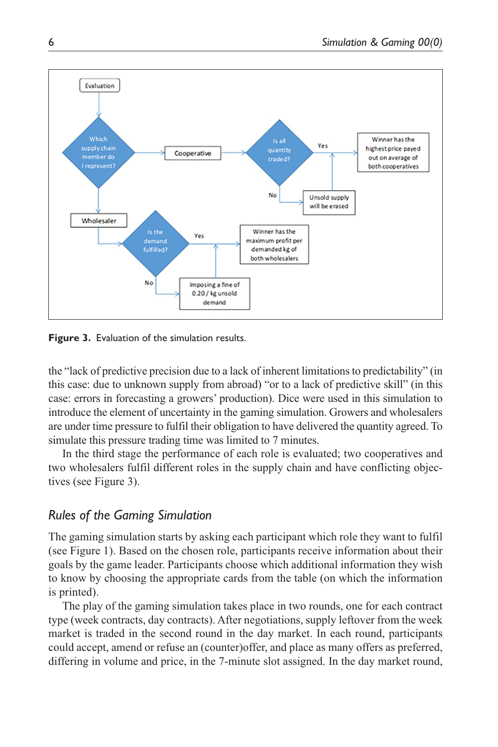

**Figure 3.** Evaluation of the simulation results.

the "lack of predictive precision due to a lack of inherent limitations to predictability" (in this case: due to unknown supply from abroad) "or to a lack of predictive skill" (in this case: errors in forecasting a growers' production). Dice were used in this simulation to introduce the element of uncertainty in the gaming simulation. Growers and wholesalers are under time pressure to fulfil their obligation to have delivered the quantity agreed. To simulate this pressure trading time was limited to 7 minutes.

In the third stage the performance of each role is evaluated; two cooperatives and two wholesalers fulfil different roles in the supply chain and have conflicting objectives (see Figure 3).

### *Rules of the Gaming Simulation*

The gaming simulation starts by asking each participant which role they want to fulfil (see Figure 1). Based on the chosen role, participants receive information about their goals by the game leader. Participants choose which additional information they wish to know by choosing the appropriate cards from the table (on which the information is printed).

The play of the gaming simulation takes place in two rounds, one for each contract type (week contracts, day contracts). After negotiations, supply leftover from the week market is traded in the second round in the day market. In each round, participants could accept, amend or refuse an (counter)offer, and place as many offers as preferred, differing in volume and price, in the 7-minute slot assigned. In the day market round,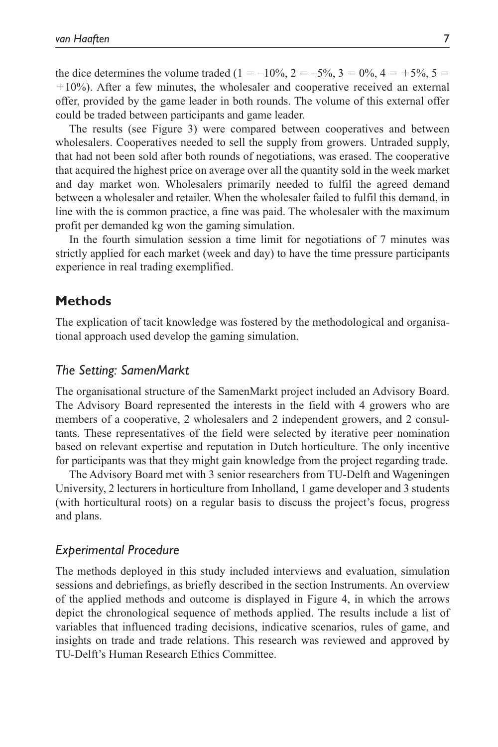the dice determines the volume traded (1 = –10%, 2 = –5%, 3 = 0%, 4 = +5%, 5 = +10%). After a few minutes, the wholesaler and cooperative received an external offer, provided by the game leader in both rounds. The volume of this external offer could be traded between participants and game leader.

The results (see Figure 3) were compared between cooperatives and between wholesalers. Cooperatives needed to sell the supply from growers. Untraded supply, that had not been sold after both rounds of negotiations, was erased. The cooperative that acquired the highest price on average over all the quantity sold in the week market and day market won. Wholesalers primarily needed to fulfil the agreed demand between a wholesaler and retailer. When the wholesaler failed to fulfil this demand, in line with the is common practice, a fine was paid. The wholesaler with the maximum profit per demanded kg won the gaming simulation.

In the fourth simulation session a time limit for negotiations of 7 minutes was strictly applied for each market (week and day) to have the time pressure participants experience in real trading exemplified.

### **Methods**

The explication of tacit knowledge was fostered by the methodological and organisational approach used develop the gaming simulation.

#### *The Setting: SamenMarkt*

The organisational structure of the SamenMarkt project included an Advisory Board. The Advisory Board represented the interests in the field with 4 growers who are members of a cooperative, 2 wholesalers and 2 independent growers, and 2 consultants. These representatives of the field were selected by iterative peer nomination based on relevant expertise and reputation in Dutch horticulture. The only incentive for participants was that they might gain knowledge from the project regarding trade.

The Advisory Board met with 3 senior researchers from TU-Delft and Wageningen University, 2 lecturers in horticulture from Inholland, 1 game developer and 3 students (with horticultural roots) on a regular basis to discuss the project's focus, progress and plans.

#### *Experimental Procedure*

The methods deployed in this study included interviews and evaluation, simulation sessions and debriefings, as briefly described in the section Instruments. An overview of the applied methods and outcome is displayed in Figure 4, in which the arrows depict the chronological sequence of methods applied. The results include a list of variables that influenced trading decisions, indicative scenarios, rules of game, and insights on trade and trade relations. This research was reviewed and approved by TU-Delft's Human Research Ethics Committee.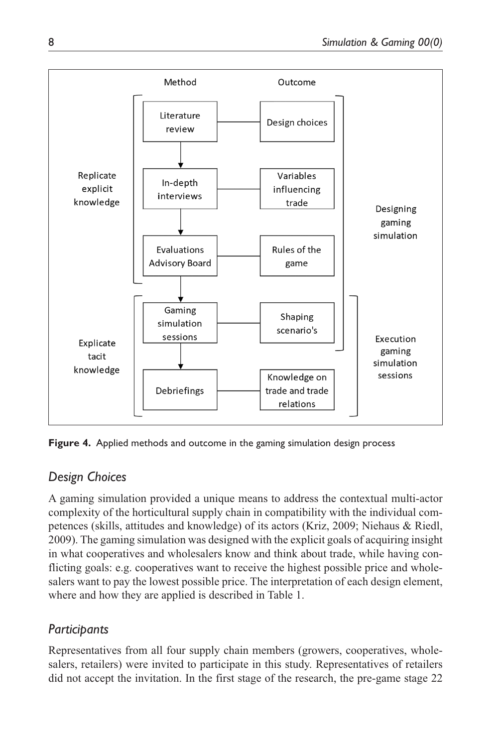

**Figure 4.** Applied methods and outcome in the gaming simulation design process

## *Design Choices*

A gaming simulation provided a unique means to address the contextual multi-actor complexity of the horticultural supply chain in compatibility with the individual competences (skills, attitudes and knowledge) of its actors (Kriz, 2009; Niehaus & Riedl, 2009). The gaming simulation was designed with the explicit goals of acquiring insight in what cooperatives and wholesalers know and think about trade, while having conflicting goals: e.g. cooperatives want to receive the highest possible price and wholesalers want to pay the lowest possible price. The interpretation of each design element, where and how they are applied is described in Table 1.

## *Participants*

Representatives from all four supply chain members (growers, cooperatives, wholesalers, retailers) were invited to participate in this study. Representatives of retailers did not accept the invitation. In the first stage of the research, the pre-game stage 22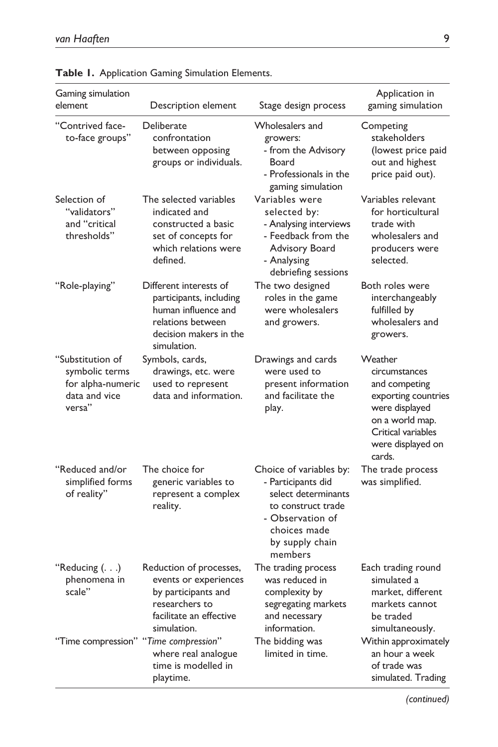| Gaming simulation<br>element                                                       | Description element                                                                                                                    | Stage design process                                                                                                                                         | Application in<br>gaming simulation                                                                                                                        |
|------------------------------------------------------------------------------------|----------------------------------------------------------------------------------------------------------------------------------------|--------------------------------------------------------------------------------------------------------------------------------------------------------------|------------------------------------------------------------------------------------------------------------------------------------------------------------|
| "Contrived face-<br>to-face groups"                                                | Deliberate<br>confrontation<br>between opposing<br>groups or individuals.                                                              | Wholesalers and<br>growers:<br>- from the Advisory<br>Board<br>- Professionals in the<br>gaming simulation                                                   | Competing<br>stakeholders<br>(lowest price paid<br>out and highest<br>price paid out).                                                                     |
| Selection of<br>"validators"<br>and "critical<br>thresholds"                       | The selected variables<br>indicated and<br>constructed a basic<br>set of concepts for<br>which relations were<br>defined.              | Variables were<br>selected by:<br>- Analysing interviews<br>- Feedback from the<br>Advisory Board<br>- Analysing<br>debriefing sessions                      | Variables relevant<br>for horticultural<br>trade with<br>wholesalers and<br>producers were<br>selected.                                                    |
| "Role-playing"                                                                     | Different interests of<br>participants, including<br>human influence and<br>relations between<br>decision makers in the<br>simulation. | The two designed<br>roles in the game<br>were wholesalers<br>and growers.                                                                                    | Both roles were<br>interchangeably<br>fulfilled by<br>wholesalers and<br>growers.                                                                          |
| "Substitution of<br>symbolic terms<br>for alpha-numeric<br>data and vice<br>versa" | Symbols, cards,<br>drawings, etc. were<br>used to represent<br>data and information.                                                   | Drawings and cards<br>were used to<br>present information<br>and facilitate the<br>play.                                                                     | Weather<br>circumstances<br>and competing<br>exporting countries<br>were displayed<br>on a world map.<br>Critical variables<br>were displayed on<br>cards. |
| "Reduced and/or<br>simplified forms<br>of reality"                                 | The choice for<br>generic variables to<br>represent a complex<br>reality.                                                              | Choice of variables by:<br>- Participants did<br>select determinants<br>to construct trade<br>- Observation of<br>choices made<br>by supply chain<br>members | The trade process<br>was simplified.                                                                                                                       |
| "Reducing $( \ldots )$<br>phenomena in<br>scale"                                   | Reduction of processes,<br>events or experiences<br>by participants and<br>researchers to<br>facilitate an effective<br>simulation.    | The trading process<br>was reduced in<br>complexity by<br>segregating markets<br>and necessary<br>information.                                               | Each trading round<br>simulated a<br>market, different<br>markets cannot<br>be traded<br>simultaneously.                                                   |
| "Time compression" "Time compression"                                              | where real analogue<br>time is modelled in<br>playtime.                                                                                | The bidding was<br>limited in time.                                                                                                                          | Within approximately<br>an hour a week<br>of trade was<br>simulated. Trading                                                                               |

**Table 1.** Application Gaming Simulation Elements.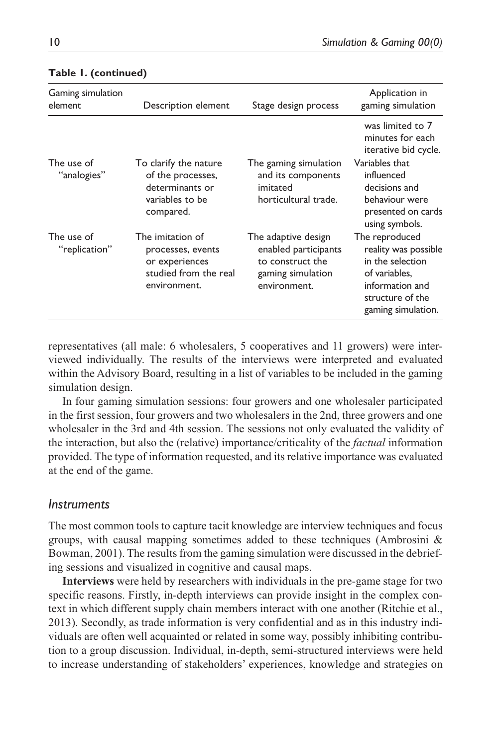| Gaming simulation<br>element | Description element                                                                              | Stage design process                                                                                 | Application in<br>gaming simulation                                                                                                      |
|------------------------------|--------------------------------------------------------------------------------------------------|------------------------------------------------------------------------------------------------------|------------------------------------------------------------------------------------------------------------------------------------------|
|                              |                                                                                                  |                                                                                                      | was limited to 7<br>minutes for each<br>iterative bid cycle.                                                                             |
| The use of<br>"analogies"    | To clarify the nature<br>of the processes,<br>determinants or<br>variables to be<br>compared.    | The gaming simulation<br>and its components<br>imitated<br>horticultural trade.                      | Variables that<br>influenced<br>decisions and<br>behaviour were<br>presented on cards<br>using symbols.                                  |
| The use of<br>"replication"  | The imitation of<br>processes, events<br>or experiences<br>studied from the real<br>environment. | The adaptive design<br>enabled participants<br>to construct the<br>gaming simulation<br>environment. | The reproduced<br>reality was possible<br>in the selection<br>of variables,<br>information and<br>structure of the<br>gaming simulation. |

#### **Table 1. (continued)**

representatives (all male: 6 wholesalers, 5 cooperatives and 11 growers) were interviewed individually. The results of the interviews were interpreted and evaluated within the Advisory Board, resulting in a list of variables to be included in the gaming simulation design.

In four gaming simulation sessions: four growers and one wholesaler participated in the first session, four growers and two wholesalers in the 2nd, three growers and one wholesaler in the 3rd and 4th session. The sessions not only evaluated the validity of the interaction, but also the (relative) importance/criticality of the *factual* information provided. The type of information requested, and its relative importance was evaluated at the end of the game.

#### *Instruments*

The most common tools to capture tacit knowledge are interview techniques and focus groups, with causal mapping sometimes added to these techniques (Ambrosini  $\&$ Bowman, 2001). The results from the gaming simulation were discussed in the debriefing sessions and visualized in cognitive and causal maps.

**Interviews** were held by researchers with individuals in the pre-game stage for two specific reasons. Firstly, in-depth interviews can provide insight in the complex context in which different supply chain members interact with one another (Ritchie et al., 2013). Secondly, as trade information is very confidential and as in this industry individuals are often well acquainted or related in some way, possibly inhibiting contribution to a group discussion. Individual, in-depth, semi-structured interviews were held to increase understanding of stakeholders' experiences, knowledge and strategies on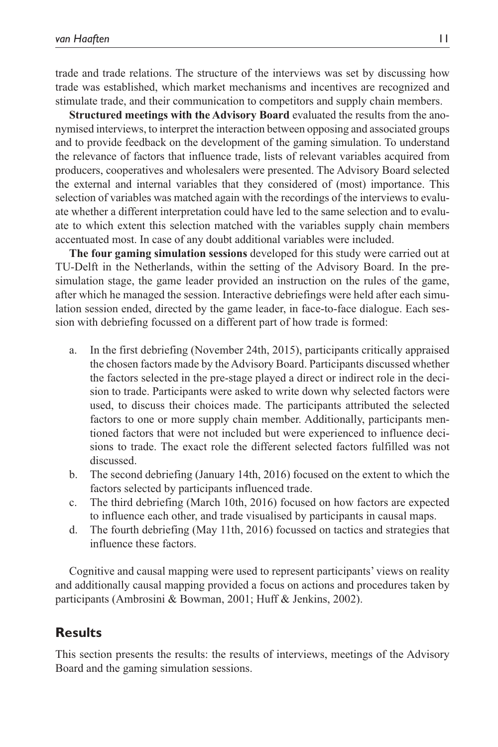trade and trade relations. The structure of the interviews was set by discussing how trade was established, which market mechanisms and incentives are recognized and stimulate trade, and their communication to competitors and supply chain members.

**Structured meetings with the Advisory Board** evaluated the results from the anonymised interviews, to interpret the interaction between opposing and associated groups and to provide feedback on the development of the gaming simulation. To understand the relevance of factors that influence trade, lists of relevant variables acquired from producers, cooperatives and wholesalers were presented. The Advisory Board selected the external and internal variables that they considered of (most) importance. This selection of variables was matched again with the recordings of the interviews to evaluate whether a different interpretation could have led to the same selection and to evaluate to which extent this selection matched with the variables supply chain members accentuated most. In case of any doubt additional variables were included.

**The four gaming simulation sessions** developed for this study were carried out at TU-Delft in the Netherlands, within the setting of the Advisory Board. In the presimulation stage, the game leader provided an instruction on the rules of the game, after which he managed the session. Interactive debriefings were held after each simulation session ended, directed by the game leader, in face-to-face dialogue. Each session with debriefing focussed on a different part of how trade is formed:

- a. In the first debriefing (November 24th, 2015), participants critically appraised the chosen factors made by the Advisory Board. Participants discussed whether the factors selected in the pre-stage played a direct or indirect role in the decision to trade. Participants were asked to write down why selected factors were used, to discuss their choices made. The participants attributed the selected factors to one or more supply chain member. Additionally, participants mentioned factors that were not included but were experienced to influence decisions to trade. The exact role the different selected factors fulfilled was not discussed.
- b. The second debriefing (January 14th, 2016) focused on the extent to which the factors selected by participants influenced trade.
- c. The third debriefing (March 10th, 2016) focused on how factors are expected to influence each other, and trade visualised by participants in causal maps.
- d. The fourth debriefing (May 11th, 2016) focussed on tactics and strategies that influence these factors.

Cognitive and causal mapping were used to represent participants' views on reality and additionally causal mapping provided a focus on actions and procedures taken by participants (Ambrosini & Bowman, 2001; Huff & Jenkins, 2002).

## **Results**

This section presents the results: the results of interviews, meetings of the Advisory Board and the gaming simulation sessions.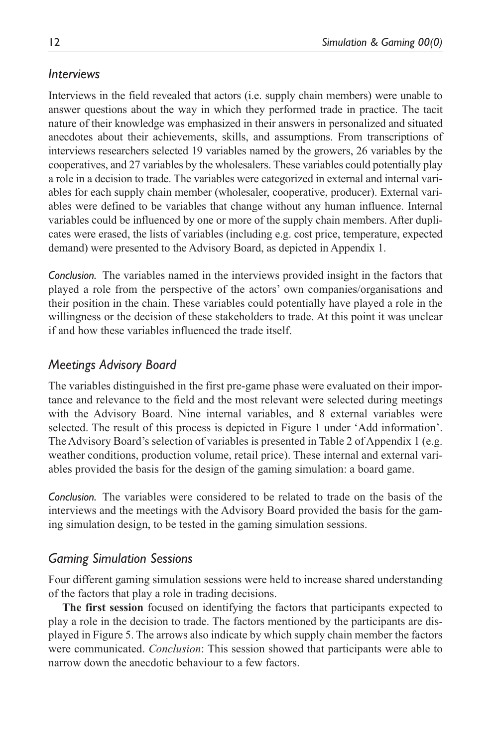## *Interviews*

Interviews in the field revealed that actors (i.e. supply chain members) were unable to answer questions about the way in which they performed trade in practice. The tacit nature of their knowledge was emphasized in their answers in personalized and situated anecdotes about their achievements, skills, and assumptions. From transcriptions of interviews researchers selected 19 variables named by the growers, 26 variables by the cooperatives, and 27 variables by the wholesalers. These variables could potentially play a role in a decision to trade. The variables were categorized in external and internal variables for each supply chain member (wholesaler, cooperative, producer). External variables were defined to be variables that change without any human influence. Internal variables could be influenced by one or more of the supply chain members. After duplicates were erased, the lists of variables (including e.g. cost price, temperature, expected demand) were presented to the Advisory Board, as depicted in Appendix 1.

*Conclusion.* The variables named in the interviews provided insight in the factors that played a role from the perspective of the actors' own companies/organisations and their position in the chain. These variables could potentially have played a role in the willingness or the decision of these stakeholders to trade. At this point it was unclear if and how these variables influenced the trade itself.

## *Meetings Advisory Board*

The variables distinguished in the first pre-game phase were evaluated on their importance and relevance to the field and the most relevant were selected during meetings with the Advisory Board. Nine internal variables, and 8 external variables were selected. The result of this process is depicted in Figure 1 under 'Add information'. The Advisory Board's selection of variables is presented in Table 2 of Appendix 1 (e.g. weather conditions, production volume, retail price). These internal and external variables provided the basis for the design of the gaming simulation: a board game.

*Conclusion.* The variables were considered to be related to trade on the basis of the interviews and the meetings with the Advisory Board provided the basis for the gaming simulation design, to be tested in the gaming simulation sessions.

## *Gaming Simulation Sessions*

Four different gaming simulation sessions were held to increase shared understanding of the factors that play a role in trading decisions.

**The first session** focused on identifying the factors that participants expected to play a role in the decision to trade. The factors mentioned by the participants are displayed in Figure 5. The arrows also indicate by which supply chain member the factors were communicated. *Conclusion*: This session showed that participants were able to narrow down the anecdotic behaviour to a few factors.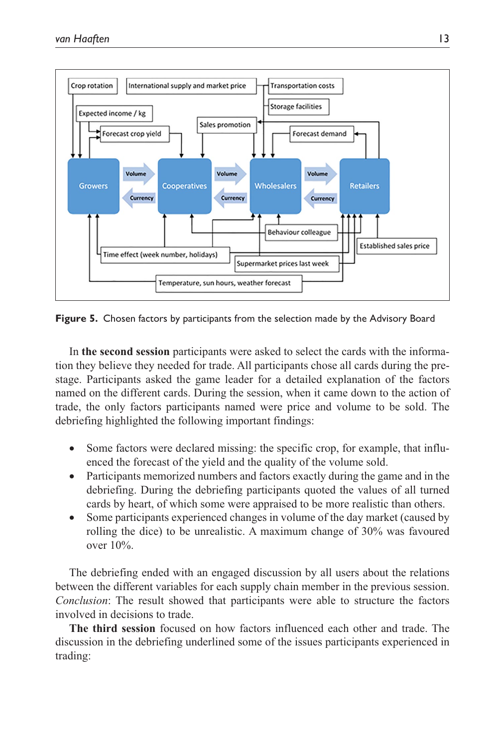

**Figure 5.** Chosen factors by participants from the selection made by the Advisory Board

In **the second session** participants were asked to select the cards with the information they believe they needed for trade. All participants chose all cards during the prestage. Participants asked the game leader for a detailed explanation of the factors named on the different cards. During the session, when it came down to the action of trade, the only factors participants named were price and volume to be sold. The debriefing highlighted the following important findings:

- Some factors were declared missing: the specific crop, for example, that influenced the forecast of the yield and the quality of the volume sold.
- Participants memorized numbers and factors exactly during the game and in the debriefing. During the debriefing participants quoted the values of all turned cards by heart, of which some were appraised to be more realistic than others.
- Some participants experienced changes in volume of the day market (caused by rolling the dice) to be unrealistic. A maximum change of 30% was favoured over 10%.

The debriefing ended with an engaged discussion by all users about the relations between the different variables for each supply chain member in the previous session. *Conclusion*: The result showed that participants were able to structure the factors involved in decisions to trade.

**The third session** focused on how factors influenced each other and trade. The discussion in the debriefing underlined some of the issues participants experienced in trading: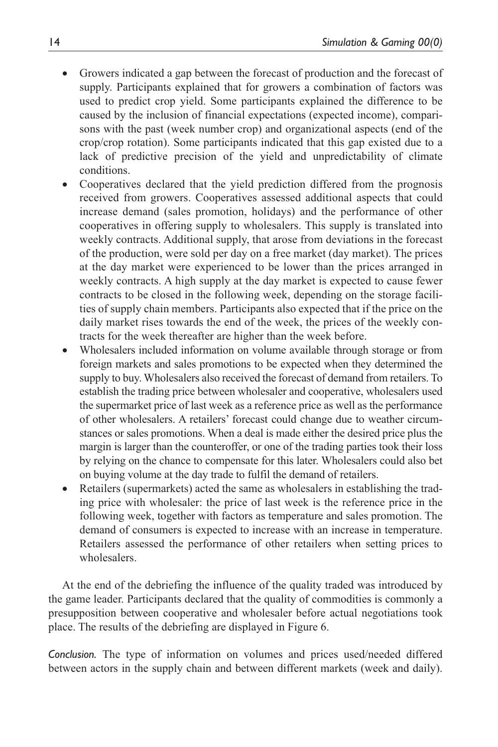- Growers indicated a gap between the forecast of production and the forecast of supply. Participants explained that for growers a combination of factors was used to predict crop yield. Some participants explained the difference to be caused by the inclusion of financial expectations (expected income), comparisons with the past (week number crop) and organizational aspects (end of the crop/crop rotation). Some participants indicated that this gap existed due to a lack of predictive precision of the yield and unpredictability of climate conditions.
- Cooperatives declared that the yield prediction differed from the prognosis received from growers. Cooperatives assessed additional aspects that could increase demand (sales promotion, holidays) and the performance of other cooperatives in offering supply to wholesalers. This supply is translated into weekly contracts. Additional supply, that arose from deviations in the forecast of the production, were sold per day on a free market (day market). The prices at the day market were experienced to be lower than the prices arranged in weekly contracts. A high supply at the day market is expected to cause fewer contracts to be closed in the following week, depending on the storage facilities of supply chain members. Participants also expected that if the price on the daily market rises towards the end of the week, the prices of the weekly contracts for the week thereafter are higher than the week before.
- Wholesalers included information on volume available through storage or from foreign markets and sales promotions to be expected when they determined the supply to buy. Wholesalers also received the forecast of demand from retailers. To establish the trading price between wholesaler and cooperative, wholesalers used the supermarket price of last week as a reference price as well as the performance of other wholesalers. A retailers' forecast could change due to weather circumstances or sales promotions. When a deal is made either the desired price plus the margin is larger than the counteroffer, or one of the trading parties took their loss by relying on the chance to compensate for this later. Wholesalers could also bet on buying volume at the day trade to fulfil the demand of retailers.
- Retailers (supermarkets) acted the same as wholesalers in establishing the trading price with wholesaler: the price of last week is the reference price in the following week, together with factors as temperature and sales promotion. The demand of consumers is expected to increase with an increase in temperature. Retailers assessed the performance of other retailers when setting prices to wholesalers.

At the end of the debriefing the influence of the quality traded was introduced by the game leader. Participants declared that the quality of commodities is commonly a presupposition between cooperative and wholesaler before actual negotiations took place. The results of the debriefing are displayed in Figure 6.

*Conclusion.* The type of information on volumes and prices used/needed differed between actors in the supply chain and between different markets (week and daily).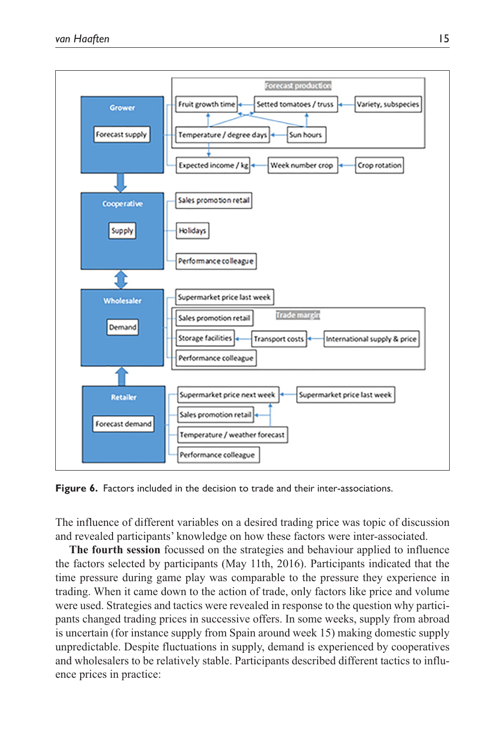

**Figure 6.** Factors included in the decision to trade and their inter-associations.

The influence of different variables on a desired trading price was topic of discussion and revealed participants' knowledge on how these factors were inter-associated.

**The fourth session** focussed on the strategies and behaviour applied to influence the factors selected by participants (May 11th, 2016). Participants indicated that the time pressure during game play was comparable to the pressure they experience in trading. When it came down to the action of trade, only factors like price and volume were used. Strategies and tactics were revealed in response to the question why participants changed trading prices in successive offers. In some weeks, supply from abroad is uncertain (for instance supply from Spain around week 15) making domestic supply unpredictable. Despite fluctuations in supply, demand is experienced by cooperatives and wholesalers to be relatively stable. Participants described different tactics to influence prices in practice: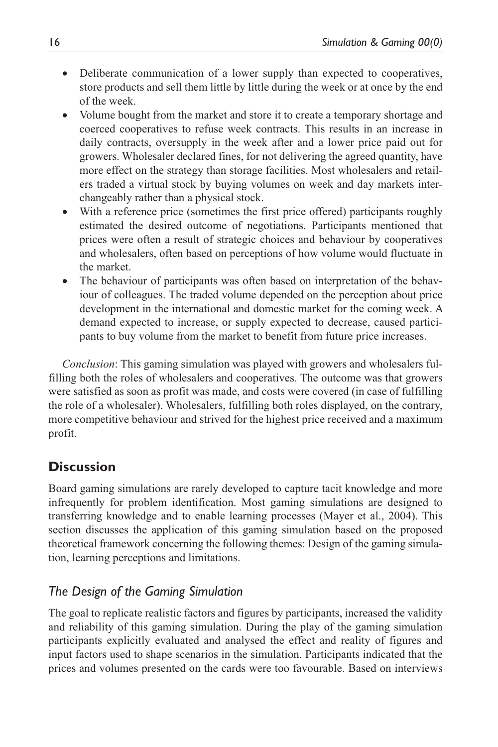- Deliberate communication of a lower supply than expected to cooperatives, store products and sell them little by little during the week or at once by the end of the week.
- Volume bought from the market and store it to create a temporary shortage and coerced cooperatives to refuse week contracts. This results in an increase in daily contracts, oversupply in the week after and a lower price paid out for growers. Wholesaler declared fines, for not delivering the agreed quantity, have more effect on the strategy than storage facilities. Most wholesalers and retailers traded a virtual stock by buying volumes on week and day markets interchangeably rather than a physical stock.
- With a reference price (sometimes the first price offered) participants roughly estimated the desired outcome of negotiations. Participants mentioned that prices were often a result of strategic choices and behaviour by cooperatives and wholesalers, often based on perceptions of how volume would fluctuate in the market.
- The behaviour of participants was often based on interpretation of the behaviour of colleagues. The traded volume depended on the perception about price development in the international and domestic market for the coming week. A demand expected to increase, or supply expected to decrease, caused participants to buy volume from the market to benefit from future price increases.

*Conclusion*: This gaming simulation was played with growers and wholesalers fulfilling both the roles of wholesalers and cooperatives. The outcome was that growers were satisfied as soon as profit was made, and costs were covered (in case of fulfilling the role of a wholesaler). Wholesalers, fulfilling both roles displayed, on the contrary, more competitive behaviour and strived for the highest price received and a maximum profit.

## **Discussion**

Board gaming simulations are rarely developed to capture tacit knowledge and more infrequently for problem identification. Most gaming simulations are designed to transferring knowledge and to enable learning processes (Mayer et al., 2004). This section discusses the application of this gaming simulation based on the proposed theoretical framework concerning the following themes: Design of the gaming simulation, learning perceptions and limitations.

## *The Design of the Gaming Simulation*

The goal to replicate realistic factors and figures by participants, increased the validity and reliability of this gaming simulation. During the play of the gaming simulation participants explicitly evaluated and analysed the effect and reality of figures and input factors used to shape scenarios in the simulation. Participants indicated that the prices and volumes presented on the cards were too favourable. Based on interviews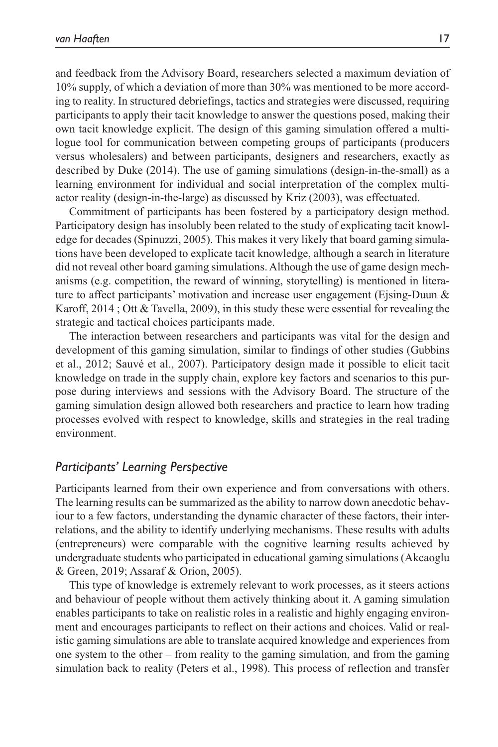and feedback from the Advisory Board, researchers selected a maximum deviation of 10% supply, of which a deviation of more than 30% was mentioned to be more according to reality. In structured debriefings, tactics and strategies were discussed, requiring participants to apply their tacit knowledge to answer the questions posed, making their own tacit knowledge explicit. The design of this gaming simulation offered a multilogue tool for communication between competing groups of participants (producers versus wholesalers) and between participants, designers and researchers, exactly as described by Duke (2014). The use of gaming simulations (design-in-the-small) as a learning environment for individual and social interpretation of the complex multiactor reality (design-in-the-large) as discussed by Kriz (2003), was effectuated.

Commitment of participants has been fostered by a participatory design method. Participatory design has insolubly been related to the study of explicating tacit knowledge for decades (Spinuzzi, 2005). This makes it very likely that board gaming simulations have been developed to explicate tacit knowledge, although a search in literature did not reveal other board gaming simulations. Although the use of game design mechanisms (e.g. competition, the reward of winning, storytelling) is mentioned in literature to affect participants' motivation and increase user engagement (Ejsing-Duun & Karoff, 2014 ; Ott & Tavella, 2009), in this study these were essential for revealing the strategic and tactical choices participants made.

The interaction between researchers and participants was vital for the design and development of this gaming simulation, similar to findings of other studies (Gubbins et al., 2012; Sauvé et al., 2007). Participatory design made it possible to elicit tacit knowledge on trade in the supply chain, explore key factors and scenarios to this purpose during interviews and sessions with the Advisory Board. The structure of the gaming simulation design allowed both researchers and practice to learn how trading processes evolved with respect to knowledge, skills and strategies in the real trading environment.

#### *Participants' Learning Perspective*

Participants learned from their own experience and from conversations with others. The learning results can be summarized as the ability to narrow down anecdotic behaviour to a few factors, understanding the dynamic character of these factors, their interrelations, and the ability to identify underlying mechanisms. These results with adults (entrepreneurs) were comparable with the cognitive learning results achieved by undergraduate students who participated in educational gaming simulations (Akcaoglu & Green, 2019; Assaraf & Orion, 2005).

This type of knowledge is extremely relevant to work processes, as it steers actions and behaviour of people without them actively thinking about it. A gaming simulation enables participants to take on realistic roles in a realistic and highly engaging environment and encourages participants to reflect on their actions and choices. Valid or realistic gaming simulations are able to translate acquired knowledge and experiences from one system to the other – from reality to the gaming simulation, and from the gaming simulation back to reality (Peters et al., 1998). This process of reflection and transfer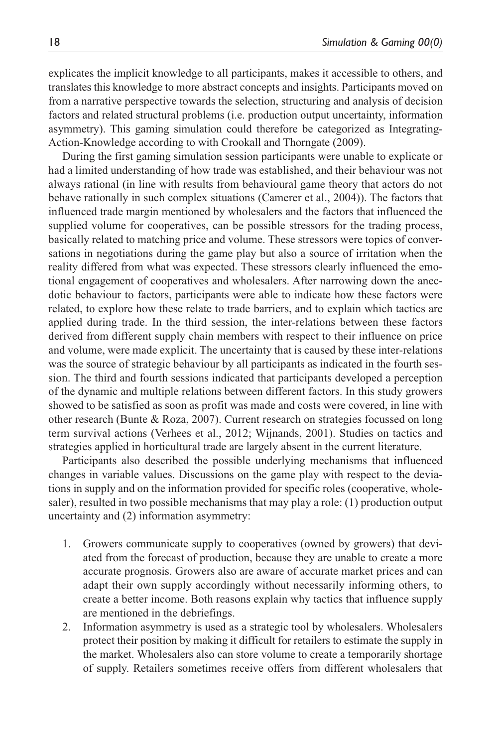explicates the implicit knowledge to all participants, makes it accessible to others, and translates this knowledge to more abstract concepts and insights. Participants moved on from a narrative perspective towards the selection, structuring and analysis of decision factors and related structural problems (i.e. production output uncertainty, information asymmetry). This gaming simulation could therefore be categorized as Integrating-Action-Knowledge according to with Crookall and Thorngate (2009).

During the first gaming simulation session participants were unable to explicate or had a limited understanding of how trade was established, and their behaviour was not always rational (in line with results from behavioural game theory that actors do not behave rationally in such complex situations (Camerer et al., 2004)). The factors that influenced trade margin mentioned by wholesalers and the factors that influenced the supplied volume for cooperatives, can be possible stressors for the trading process, basically related to matching price and volume. These stressors were topics of conversations in negotiations during the game play but also a source of irritation when the reality differed from what was expected. These stressors clearly influenced the emotional engagement of cooperatives and wholesalers. After narrowing down the anecdotic behaviour to factors, participants were able to indicate how these factors were related, to explore how these relate to trade barriers, and to explain which tactics are applied during trade. In the third session, the inter-relations between these factors derived from different supply chain members with respect to their influence on price and volume, were made explicit. The uncertainty that is caused by these inter-relations was the source of strategic behaviour by all participants as indicated in the fourth session. The third and fourth sessions indicated that participants developed a perception of the dynamic and multiple relations between different factors. In this study growers showed to be satisfied as soon as profit was made and costs were covered, in line with other research (Bunte & Roza, 2007). Current research on strategies focussed on long term survival actions (Verhees et al., 2012; Wijnands, 2001). Studies on tactics and strategies applied in horticultural trade are largely absent in the current literature.

Participants also described the possible underlying mechanisms that influenced changes in variable values. Discussions on the game play with respect to the deviations in supply and on the information provided for specific roles (cooperative, wholesaler), resulted in two possible mechanisms that may play a role: (1) production output uncertainty and (2) information asymmetry:

- 1. Growers communicate supply to cooperatives (owned by growers) that deviated from the forecast of production, because they are unable to create a more accurate prognosis. Growers also are aware of accurate market prices and can adapt their own supply accordingly without necessarily informing others, to create a better income. Both reasons explain why tactics that influence supply are mentioned in the debriefings.
- 2. Information asymmetry is used as a strategic tool by wholesalers. Wholesalers protect their position by making it difficult for retailers to estimate the supply in the market. Wholesalers also can store volume to create a temporarily shortage of supply. Retailers sometimes receive offers from different wholesalers that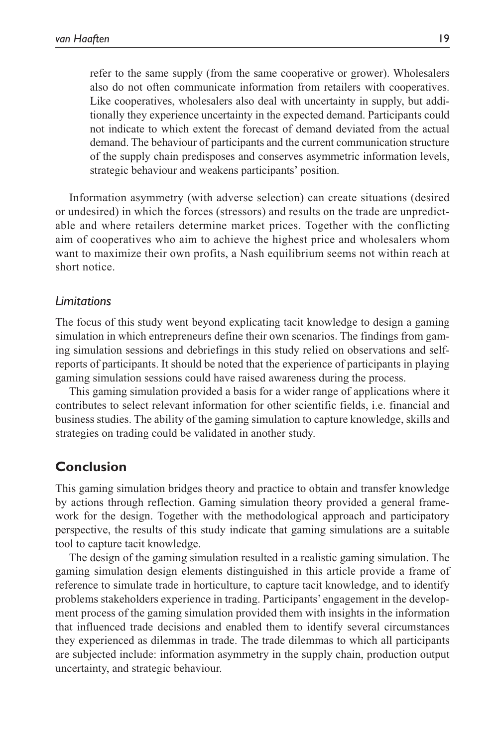refer to the same supply (from the same cooperative or grower). Wholesalers also do not often communicate information from retailers with cooperatives. Like cooperatives, wholesalers also deal with uncertainty in supply, but additionally they experience uncertainty in the expected demand. Participants could not indicate to which extent the forecast of demand deviated from the actual demand. The behaviour of participants and the current communication structure of the supply chain predisposes and conserves asymmetric information levels, strategic behaviour and weakens participants' position.

Information asymmetry (with adverse selection) can create situations (desired or undesired) in which the forces (stressors) and results on the trade are unpredictable and where retailers determine market prices. Together with the conflicting aim of cooperatives who aim to achieve the highest price and wholesalers whom want to maximize their own profits, a Nash equilibrium seems not within reach at short notice.

#### *Limitations*

The focus of this study went beyond explicating tacit knowledge to design a gaming simulation in which entrepreneurs define their own scenarios. The findings from gaming simulation sessions and debriefings in this study relied on observations and selfreports of participants. It should be noted that the experience of participants in playing gaming simulation sessions could have raised awareness during the process.

This gaming simulation provided a basis for a wider range of applications where it contributes to select relevant information for other scientific fields, i.e. financial and business studies. The ability of the gaming simulation to capture knowledge, skills and strategies on trading could be validated in another study.

## **Conclusion**

This gaming simulation bridges theory and practice to obtain and transfer knowledge by actions through reflection. Gaming simulation theory provided a general framework for the design. Together with the methodological approach and participatory perspective, the results of this study indicate that gaming simulations are a suitable tool to capture tacit knowledge.

The design of the gaming simulation resulted in a realistic gaming simulation. The gaming simulation design elements distinguished in this article provide a frame of reference to simulate trade in horticulture, to capture tacit knowledge, and to identify problems stakeholders experience in trading. Participants' engagement in the development process of the gaming simulation provided them with insights in the information that influenced trade decisions and enabled them to identify several circumstances they experienced as dilemmas in trade. The trade dilemmas to which all participants are subjected include: information asymmetry in the supply chain, production output uncertainty, and strategic behaviour.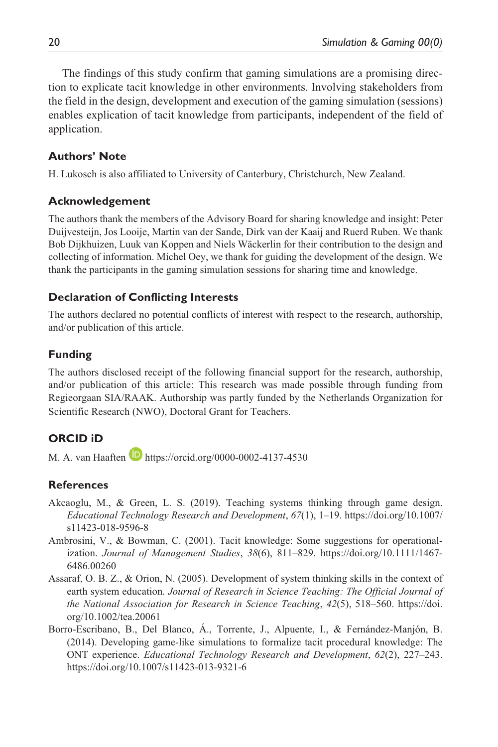The findings of this study confirm that gaming simulations are a promising direction to explicate tacit knowledge in other environments. Involving stakeholders from the field in the design, development and execution of the gaming simulation (sessions) enables explication of tacit knowledge from participants, independent of the field of application.

#### **Authors' Note**

H. Lukosch is also affiliated to University of Canterbury, Christchurch, New Zealand.

#### **Acknowledgement**

The authors thank the members of the Advisory Board for sharing knowledge and insight: Peter Duijvesteijn, Jos Looije, Martin van der Sande, Dirk van der Kaaij and Ruerd Ruben. We thank Bob Dijkhuizen, Luuk van Koppen and Niels Wäckerlin for their contribution to the design and collecting of information. Michel Oey, we thank for guiding the development of the design. We thank the participants in the gaming simulation sessions for sharing time and knowledge.

#### **Declaration of Conflicting Interests**

The authors declared no potential conflicts of interest with respect to the research, authorship, and/or publication of this article.

#### **Funding**

The authors disclosed receipt of the following financial support for the research, authorship, and/or publication of this article: This research was made possible through funding from Regieorgaan SIA/RAAK. Authorship was partly funded by the Netherlands Organization for Scientific Research (NWO), Doctoral Grant for Teachers.

### **ORCID iD**

M. A. van Haaften **h**ttps://orcid.org/0000-0002-4137-4530

#### **References**

- Akcaoglu, M., & Green, L. S. (2019). Teaching systems thinking through game design. *Educational Technology Research and Development*, *67*(1), 1–19. [https://doi.org/10.1007/](https://doi.org/10.1007/s11423-018-9596-8) [s11423-018-9596-8](https://doi.org/10.1007/s11423-018-9596-8)
- Ambrosini, V., & Bowman, C. (2001). Tacit knowledge: Some suggestions for operationalization. *Journal of Management Studies*, *38*(6), 811–829. [https://doi.org/10.1111/1467-](https://doi.org/10.1111/1467-6486.00260) [6486.00260](https://doi.org/10.1111/1467-6486.00260)
- Assaraf, O. B. Z., & Orion, N. (2005). Development of system thinking skills in the context of earth system education. *Journal of Research in Science Teaching: The Official Journal of the National Association for Research in Science Teaching*, *42*(5), 518–560. [https://doi.](https://doi.org/10.1002/tea.20061) [org/10.1002/tea.20061](https://doi.org/10.1002/tea.20061)
- Borro-Escribano, B., Del Blanco, Á., Torrente, J., Alpuente, I., & Fernández-Manjón, B. (2014). Developing game-like simulations to formalize tacit procedural knowledge: The ONT experience. *Educational Technology Research and Development*, *62*(2), 227–243. <https://doi.org/10.1007/s11423-013-9321-6>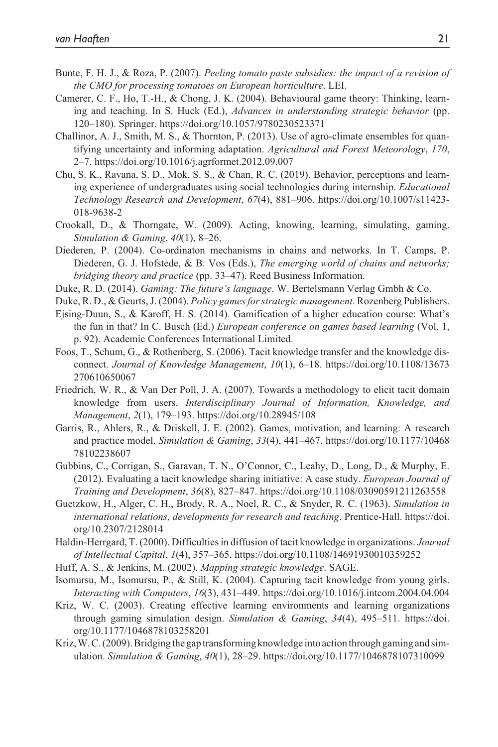- Bunte, F. H. J., & Roza, P. (2007). *Peeling tomato paste subsidies: the impact of a revision of the CMO for processing tomatoes on European horticulture*. LEI.
- Camerer, C. F., Ho, T.-H., & Chong, J. K. (2004). Behavioural game theory: Thinking, learning and teaching. In S. Huck (Ed.), *Advances in understanding strategic behavior* (pp. 120–180). Springer.<https://doi.org/10.1057/9780230523371>
- Challinor, A. J., Smith, M. S., & Thornton, P. (2013). Use of agro-climate ensembles for quantifying uncertainty and informing adaptation. *Agricultural and Forest Meteorology*, *170*, 2–7.<https://doi.org/10.1016/j.agrformet.2012.09.007>
- Chu, S. K., Ravana, S. D., Mok, S. S., & Chan, R. C. (2019). Behavior, perceptions and learning experience of undergraduates using social technologies during internship. *Educational Technology Research and Development*, *67*(4), 881–906. [https://doi.org/10.1007/s11423-](https://doi.org/10.1007/s11423-018-9638-2) [018-9638-2](https://doi.org/10.1007/s11423-018-9638-2)
- Crookall, D., & Thorngate, W. (2009). Acting, knowing, learning, simulating, gaming. *Simulation & Gaming*, *40*(1), 8–26.
- Diederen, P. (2004). Co-ordinaton mechanisms in chains and networks. In T. Camps, P. Diederen, G. J. Hofstede, & B. Vos (Eds.), *The emerging world of chains and networks; bridging theory and practice* (pp. 33–47). Reed Business Information.
- Duke, R. D. (2014). *Gaming: The future's language*. W. Bertelsmann Verlag Gmbh & Co.
- Duke, R. D., & Geurts, J. (2004). *Policy games for strategic management*. Rozenberg Publishers.
- Ejsing-Duun, S., & Karoff, H. S. (2014). Gamification of a higher education course: What's the fun in that? In C. Busch (Ed.) *European conference on games based learning* (Vol. 1, p. 92). Academic Conferences International Limited.
- Foos, T., Schum, G., & Rothenberg, S. (2006). Tacit knowledge transfer and the knowledge disconnect. *Journal of Knowledge Management*, *10*(1), 6–18. [https://doi.org/10.1108/13673](https://doi.org/10.1108/13673270610650067) 270610650067
- Friedrich, W. R., & Van Der Poll, J. A. (2007). Towards a methodology to elicit tacit domain knowledge from users. *Interdisciplinary Journal of Information, Knowledge, and Management*, *2*(1), 179–193. <https://doi.org/10.28945/108>
- Garris, R., Ahlers, R., & Driskell, J. E. (2002). Games, motivation, and learning: A research and practice model. *Simulation & Gaming*, *33*(4), 441–467. [https://doi.org/10.1177/10468](https://doi.org/10.1177/1046878102238607) 78102238607
- Gubbins, C., Corrigan, S., Garavan, T. N., O'Connor, C., Leahy, D., Long, D., & Murphy, E. (2012). Evaluating a tacit knowledge sharing initiative: A case study. *European Journal of Training and Development*, *36*(8), 827–847.<https://doi.org/10.1108/03090591211263558>
- Guetzkow, H., Alger, C. H., Brody, R. A., Noel, R. C., & Snyder, R. C. (1963). *Simulation in international relations, developments for research and teaching*. Prentice-Hall. [https://doi.](https://doi.org/10.2307/2128014) [org/10.2307/2128014](https://doi.org/10.2307/2128014)
- Haldin-Herrgard, T. (2000). Difficulties in diffusion of tacit knowledge in organizations. *Journal of Intellectual Capital*, *1*(4), 357–365.<https://doi.org/10.1108/14691930010359252>
- Huff, A. S., & Jenkins, M. (2002). *Mapping strategic knowledge*. SAGE.
- Isomursu, M., Isomursu, P., & Still, K. (2004). Capturing tacit knowledge from young girls. *Interacting with Computers*, *16*(3), 431–449. <https://doi.org/10.1016/j.intcom.2004.04.004>
- Kriz, W. C. (2003). Creating effective learning environments and learning organizations through gaming simulation design. *Simulation & Gaming*, *34*(4), 495–511. [https://doi.](https://doi.org/10.1177/1046878103258201) [org/10.1177/1046878103258201](https://doi.org/10.1177/1046878103258201)
- Kriz, W. C. (2009). Bridging the gap transforming knowledge into action through gaming and simulation. *Simulation & Gaming*, *40*(1), 28–29. <https://doi.org/10.1177/1046878107310099>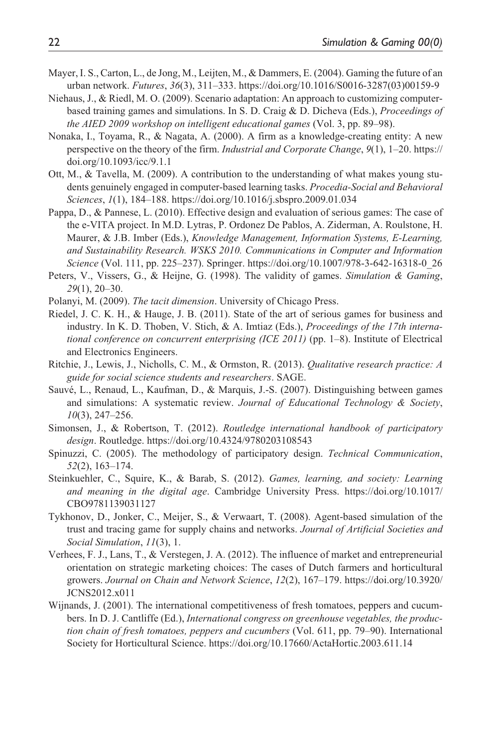- Mayer, I. S., Carton, L., de Jong, M., Leijten, M., & Dammers, E. (2004). Gaming the future of an urban network. *Futures*, *36*(3), 311–333. [https://doi.org/10.1016/S0016-3287\(03\)00159-9](https://doi.org/10.1016/S0016-3287(03)00159-9)
- Niehaus, J., & Riedl, M. O. (2009). Scenario adaptation: An approach to customizing computerbased training games and simulations. In S. D. Craig & D. Dicheva (Eds.), *Proceedings of the AIED 2009 workshop on intelligent educational games* (Vol. 3, pp. 89–98).
- Nonaka, I., Toyama, R., & Nagata, A. (2000). A firm as a knowledge-creating entity: A new perspective on the theory of the firm. *Industrial and Corporate Change*, *9*(1), 1–20. [https://](https://doi.org/10.1093/icc/9.1.1) [doi.org/10.1093/icc/9.1.1](https://doi.org/10.1093/icc/9.1.1)
- Ott, M., & Tavella, M. (2009). A contribution to the understanding of what makes young students genuinely engaged in computer-based learning tasks. *Procedia-Social and Behavioral Sciences*, *1*(1), 184–188. <https://doi.org/10.1016/j.sbspro.2009.01.034>
- Pappa, D., & Pannese, L. (2010). Effective design and evaluation of serious games: The case of the e-VITA project. In M.D. Lytras, P. Ordonez De Pablos, A. Ziderman, A. Roulstone, H. Maurer, & J.B. Imber (Eds.), *Knowledge Management, Information Systems, E-Learning, and Sustainability Research. WSKS 2010. Communications in Computer and Information Science* (Vol. 111, pp. 225–237). Springer. [https://doi.org/10.1007/978-3-642-16318-0\\_26](https://doi.org/10.1007/978-3-642-16318-0_26)
- Peters, V., Vissers, G., & Heijne, G. (1998). The validity of games. *Simulation & Gaming*, *29*(1), 20–30.
- Polanyi, M. (2009). *The tacit dimension*. University of Chicago Press.
- Riedel, J. C. K. H., & Hauge, J. B. (2011). State of the art of serious games for business and industry. In K. D. Thoben, V. Stich, & A. Imtiaz (Eds.), *Proceedings of the 17th international conference on concurrent enterprising (ICE 2011)* (pp. 1–8). Institute of Electrical and Electronics Engineers.
- Ritchie, J., Lewis, J., Nicholls, C. M., & Ormston, R. (2013). *Qualitative research practice: A guide for social science students and researchers*. SAGE.
- Sauvé, L., Renaud, L., Kaufman, D., & Marquis, J.-S. (2007). Distinguishing between games and simulations: A systematic review. *Journal of Educational Technology & Society*, *10*(3), 247–256.
- Simonsen, J., & Robertson, T. (2012). *Routledge international handbook of participatory design*. Routledge.<https://doi.org/10.4324/9780203108543>
- Spinuzzi, C. (2005). The methodology of participatory design. *Technical Communication*, *52*(2), 163–174.
- Steinkuehler, C., Squire, K., & Barab, S. (2012). *Games, learning, and society: Learning and meaning in the digital age*. Cambridge University Press. [https://doi.org/10.1017/](https://doi.org/10.1017/CBO9781139031127) [CBO9781139031127](https://doi.org/10.1017/CBO9781139031127)
- Tykhonov, D., Jonker, C., Meijer, S., & Verwaart, T. (2008). Agent-based simulation of the trust and tracing game for supply chains and networks. *Journal of Artificial Societies and Social Simulation*, *11*(3), 1.
- Verhees, F. J., Lans, T., & Verstegen, J. A. (2012). The influence of market and entrepreneurial orientation on strategic marketing choices: The cases of Dutch farmers and horticultural growers. *Journal on Chain and Network Science*, *12*(2), 167–179. [https://doi.org/10.3920/](https://doi.org/10.3920/JCNS2012.x011) [JCNS2012.x011](https://doi.org/10.3920/JCNS2012.x011)
- Wijnands, J. (2001). The international competitiveness of fresh tomatoes, peppers and cucumbers. In D. J. Cantliffe (Ed.), *International congress on greenhouse vegetables, the production chain of fresh tomatoes, peppers and cucumbers* (Vol. 611, pp. 79–90). International Society for Horticultural Science.<https://doi.org/10.17660/ActaHortic.2003.611.14>